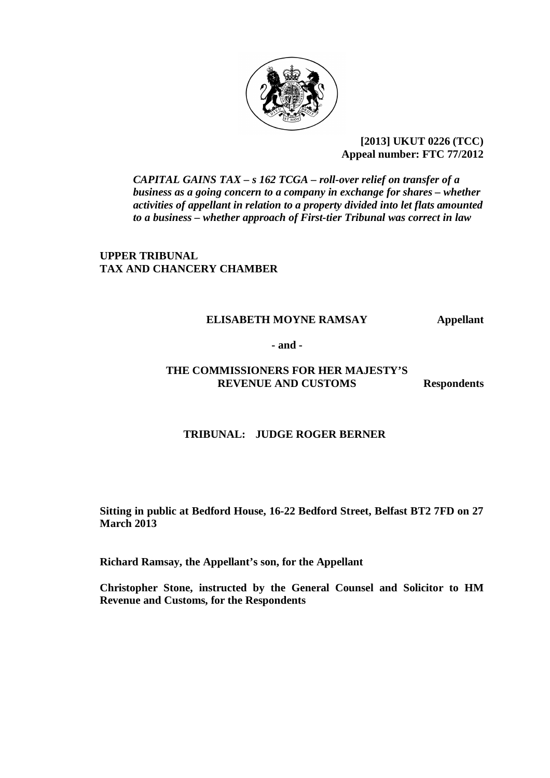

## **[2013] UKUT 0226 (TCC) Appeal number: FTC 77/2012**

*CAPITAL GAINS TAX – s 162 TCGA – roll-over relief on transfer of a business as a going concern to a company in exchange for shares – whether activities of appellant in relation to a property divided into let flats amounted to a business – whether approach of First-tier Tribunal was correct in law*

**UPPER TRIBUNAL TAX AND CHANCERY CHAMBER**

### **ELISABETH MOYNE RAMSAY Appellant**

**- and -**

## **THE COMMISSIONERS FOR HER MAJESTY'S REVENUE AND CUSTOMS Respondents**

## **TRIBUNAL: JUDGE ROGER BERNER**

**Sitting in public at Bedford House, 16-22 Bedford Street, Belfast BT2 7FD on 27 March 2013**

**Richard Ramsay, the Appellant's son, for the Appellant**

**Christopher Stone, instructed by the General Counsel and Solicitor to HM Revenue and Customs, for the Respondents**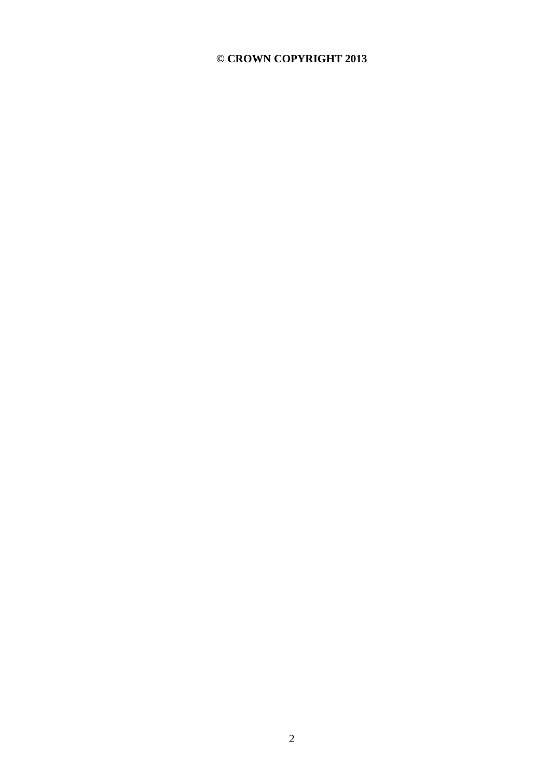# **© CROWN COPYRIGHT 2013**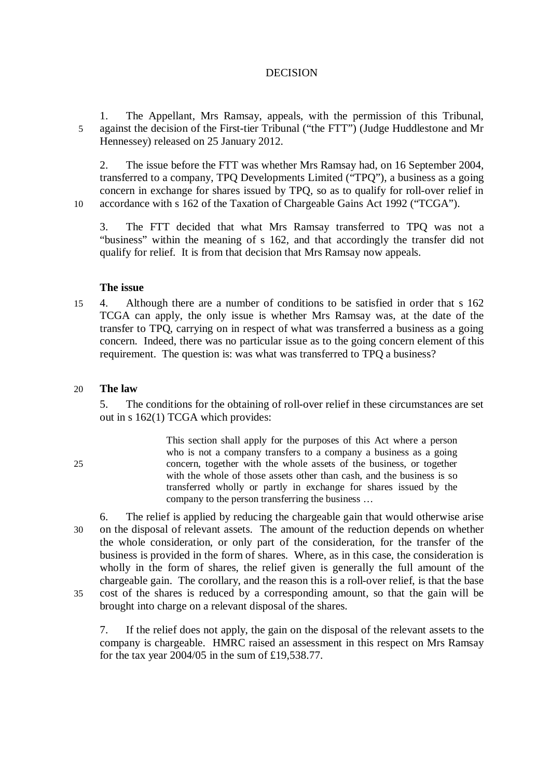#### DECISION

1. The Appellant, Mrs Ramsay, appeals, with the permission of this Tribunal, 5 against the decision of the First-tier Tribunal ("the FTT") (Judge Huddlestone and Mr Hennessey) released on 25 January 2012.

2. The issue before the FTT was whether Mrs Ramsay had, on 16 September 2004, transferred to a company, TPQ Developments Limited ("TPQ"), a business as a going concern in exchange for shares issued by TPQ, so as to qualify for roll-over relief in 10 accordance with s 162 of the Taxation of Chargeable Gains Act 1992 ("TCGA").

3. The FTT decided that what Mrs Ramsay transferred to TPQ was not a "business" within the meaning of s 162, and that accordingly the transfer did not qualify for relief. It is from that decision that Mrs Ramsay now appeals.

#### **The issue**

15 4. Although there are a number of conditions to be satisfied in order that s 162 TCGA can apply, the only issue is whether Mrs Ramsay was, at the date of the transfer to TPQ, carrying on in respect of what was transferred a business as a going concern. Indeed, there was no particular issue as to the going concern element of this requirement. The question is: was what was transferred to TPQ a business?

#### 20 **The law**

5. The conditions for the obtaining of roll-over relief in these circumstances are set out in s 162(1) TCGA which provides:

This section shall apply for the purposes of this Act where a person who is not a company transfers to a company a business as a going 25 concern, together with the whole assets of the business, or together with the whole of those assets other than cash, and the business is so transferred wholly or partly in exchange for shares issued by the company to the person transferring the business …

6. The relief is applied by reducing the chargeable gain that would otherwise arise 30 on the disposal of relevant assets. The amount of the reduction depends on whether the whole consideration, or only part of the consideration, for the transfer of the business is provided in the form of shares. Where, as in this case, the consideration is wholly in the form of shares, the relief given is generally the full amount of the chargeable gain. The corollary, and the reason this is a roll-over relief, is that the base 35 cost of the shares is reduced by a corresponding amount, so that the gain will be brought into charge on a relevant disposal of the shares.

7. If the relief does not apply, the gain on the disposal of the relevant assets to the company is chargeable. HMRC raised an assessment in this respect on Mrs Ramsay for the tax year 2004/05 in the sum of £19,538.77.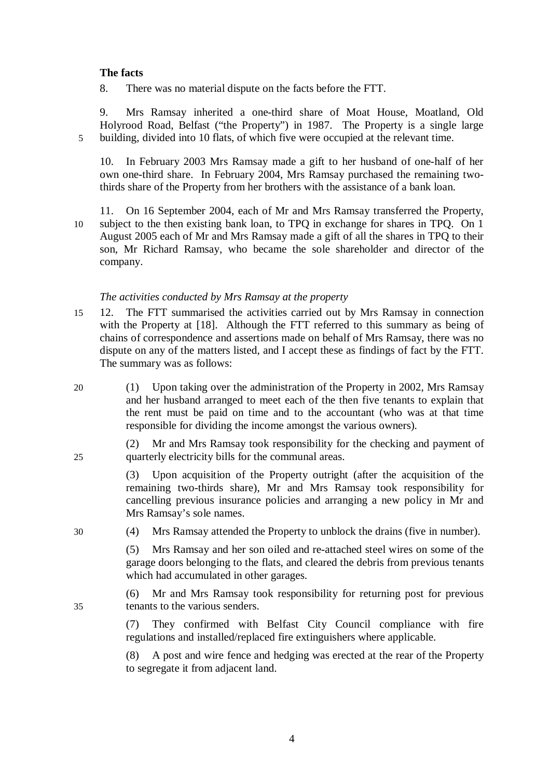#### **The facts**

8. There was no material dispute on the facts before the FTT.

9. Mrs Ramsay inherited a one-third share of Moat House, Moatland, Old Holyrood Road, Belfast ("the Property") in 1987. The Property is a single large 5 building, divided into 10 flats, of which five were occupied at the relevant time.

10. In February 2003 Mrs Ramsay made a gift to her husband of one-half of her own one-third share. In February 2004, Mrs Ramsay purchased the remaining twothirds share of the Property from her brothers with the assistance of a bank loan.

11. On 16 September 2004, each of Mr and Mrs Ramsay transferred the Property, 10 subject to the then existing bank loan, to TPQ in exchange for shares in TPQ. On 1 August 2005 each of Mr and Mrs Ramsay made a gift of all the shares in TPQ to their son, Mr Richard Ramsay, who became the sole shareholder and director of the company.

#### *The activities conducted by Mrs Ramsay at the property*

- 15 12. The FTT summarised the activities carried out by Mrs Ramsay in connection with the Property at [18]. Although the FTT referred to this summary as being of chains of correspondence and assertions made on behalf of Mrs Ramsay, there was no dispute on any of the matters listed, and I accept these as findings of fact by the FTT. The summary was as follows:
- 20 (1) Upon taking over the administration of the Property in 2002, Mrs Ramsay and her husband arranged to meet each of the then five tenants to explain that the rent must be paid on time and to the accountant (who was at that time responsible for dividing the income amongst the various owners).

(2) Mr and Mrs Ramsay took responsibility for the checking and payment of 25 quarterly electricity bills for the communal areas.

> (3) Upon acquisition of the Property outright (after the acquisition of the remaining two-thirds share), Mr and Mrs Ramsay took responsibility for cancelling previous insurance policies and arranging a new policy in Mr and Mrs Ramsay's sole names.

30 (4) Mrs Ramsay attended the Property to unblock the drains (five in number).

(5) Mrs Ramsay and her son oiled and re-attached steel wires on some of the garage doors belonging to the flats, and cleared the debris from previous tenants which had accumulated in other garages.

(6) Mr and Mrs Ramsay took responsibility for returning post for previous 35 tenants to the various senders.

> (7) They confirmed with Belfast City Council compliance with fire regulations and installed/replaced fire extinguishers where applicable.

> (8) A post and wire fence and hedging was erected at the rear of the Property to segregate it from adjacent land.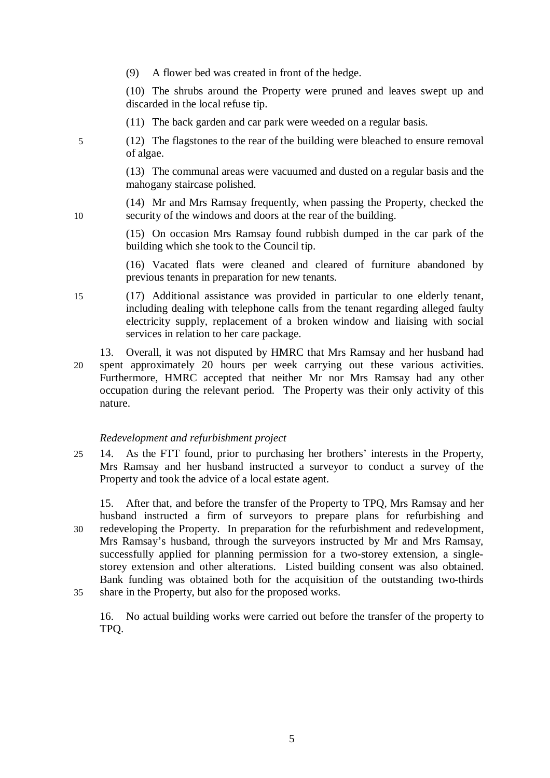(9) A flower bed was created in front of the hedge.

(10) The shrubs around the Property were pruned and leaves swept up and discarded in the local refuse tip.

- (11) The back garden and car park were weeded on a regular basis.
- 5 (12) The flagstones to the rear of the building were bleached to ensure removal of algae.

(13) The communal areas were vacuumed and dusted on a regular basis and the mahogany staircase polished.

(14) Mr and Mrs Ramsay frequently, when passing the Property, checked the 10 security of the windows and doors at the rear of the building.

> (15) On occasion Mrs Ramsay found rubbish dumped in the car park of the building which she took to the Council tip.

> (16) Vacated flats were cleaned and cleared of furniture abandoned by previous tenants in preparation for new tenants.

- 15 (17) Additional assistance was provided in particular to one elderly tenant, including dealing with telephone calls from the tenant regarding alleged faulty electricity supply, replacement of a broken window and liaising with social services in relation to her care package.
- 13. Overall, it was not disputed by HMRC that Mrs Ramsay and her husband had 20 spent approximately 20 hours per week carrying out these various activities. Furthermore, HMRC accepted that neither Mr nor Mrs Ramsay had any other occupation during the relevant period. The Property was their only activity of this nature.

#### *Redevelopment and refurbishment project*

25 14. As the FTT found, prior to purchasing her brothers' interests in the Property, Mrs Ramsay and her husband instructed a surveyor to conduct a survey of the Property and took the advice of a local estate agent.

15. After that, and before the transfer of the Property to TPQ, Mrs Ramsay and her husband instructed a firm of surveyors to prepare plans for refurbishing and 30 redeveloping the Property. In preparation for the refurbishment and redevelopment, Mrs Ramsay's husband, through the surveyors instructed by Mr and Mrs Ramsay, successfully applied for planning permission for a two-storey extension, a singlestorey extension and other alterations. Listed building consent was also obtained. Bank funding was obtained both for the acquisition of the outstanding two-thirds 35 share in the Property, but also for the proposed works.

16. No actual building works were carried out before the transfer of the property to TPQ.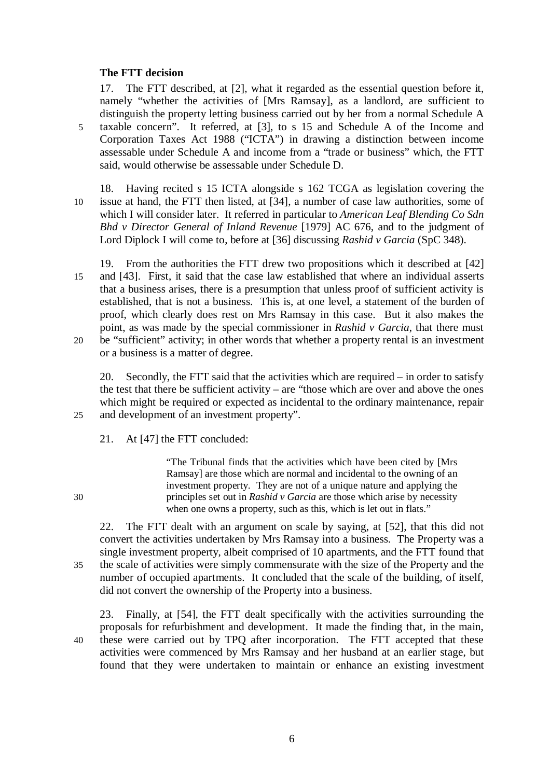#### **The FTT decision**

17. The FTT described, at [2], what it regarded as the essential question before it, namely "whether the activities of [Mrs Ramsay], as a landlord, are sufficient to distinguish the property letting business carried out by her from a normal Schedule A 5 taxable concern". It referred, at [3], to s 15 and Schedule A of the Income and Corporation Taxes Act 1988 ("ICTA") in drawing a distinction between income assessable under Schedule A and income from a "trade or business" which, the FTT said, would otherwise be assessable under Schedule D.

18. Having recited s 15 ICTA alongside s 162 TCGA as legislation covering the 10 issue at hand, the FTT then listed, at [34], a number of case law authorities, some of which I will consider later. It referred in particular to *American Leaf Blending Co Sdn Bhd v Director General of Inland Revenue* [1979] AC 676, and to the judgment of Lord Diplock I will come to, before at [36] discussing *Rashid v Garcia* (SpC 348).

19. From the authorities the FTT drew two propositions which it described at [42] 15 and [43]. First, it said that the case law established that where an individual asserts that a business arises, there is a presumption that unless proof of sufficient activity is established, that is not a business. This is, at one level, a statement of the burden of proof, which clearly does rest on Mrs Ramsay in this case. But it also makes the point, as was made by the special commissioner in *Rashid v Garcia*, that there must 20 be "sufficient" activity; in other words that whether a property rental is an investment or a business is a matter of degree.

20. Secondly, the FTT said that the activities which are required – in order to satisfy the test that there be sufficient activity – are "those which are over and above the ones" which might be required or expected as incidental to the ordinary maintenance, repair 25 and development of an investment property".

21. At [47] the FTT concluded:

"The Tribunal finds that the activities which have been cited by [Mrs Ramsay] are those which are normal and incidental to the owning of an investment property. They are not of a unique nature and applying the 30 principles set out in *Rashid v Garcia* are those which arise by necessity when one owns a property, such as this, which is let out in flats."

22. The FTT dealt with an argument on scale by saying, at [52], that this did not convert the activities undertaken by Mrs Ramsay into a business. The Property was a single investment property, albeit comprised of 10 apartments, and the FTT found that 35 the scale of activities were simply commensurate with the size of the Property and the number of occupied apartments. It concluded that the scale of the building, of itself, did not convert the ownership of the Property into a business.

23. Finally, at [54], the FTT dealt specifically with the activities surrounding the proposals for refurbishment and development. It made the finding that, in the main, 40 these were carried out by TPQ after incorporation. The FTT accepted that these activities were commenced by Mrs Ramsay and her husband at an earlier stage, but found that they were undertaken to maintain or enhance an existing investment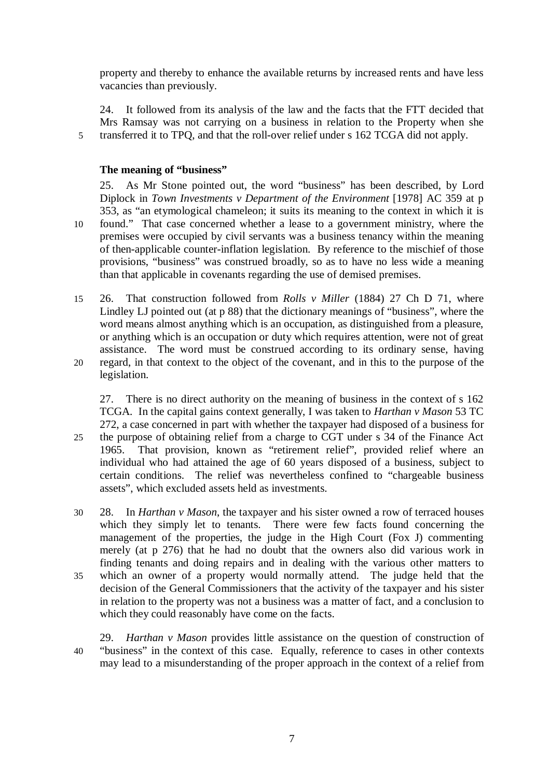property and thereby to enhance the available returns by increased rents and have less vacancies than previously.

24. It followed from its analysis of the law and the facts that the FTT decided that Mrs Ramsay was not carrying on a business in relation to the Property when she 5 transferred it to TPQ, and that the roll-over relief under s 162 TCGA did not apply.

#### **The meaning of "business"**

25. As Mr Stone pointed out, the word "business" has been described, by Lord Diplock in *Town Investments v Department of the Environment* [1978] AC 359 at p 353, as "an etymological chameleon; it suits its meaning to the context in which it is 10 found." That case concerned whether a lease to a government ministry, where the premises were occupied by civil servants was a business tenancy within the meaning of then-applicable counter-inflation legislation. By reference to the mischief of those provisions, "business" was construed broadly, so as to have no less wide a meaning than that applicable in covenants regarding the use of demised premises.

15 26. That construction followed from *Rolls v Miller* (1884) 27 Ch D 71, where Lindley LJ pointed out (at p 88) that the dictionary meanings of "business", where the word means almost anything which is an occupation, as distinguished from a pleasure, or anything which is an occupation or duty which requires attention, were not of great assistance. The word must be construed according to its ordinary sense, having 20 regard, in that context to the object of the covenant, and in this to the purpose of the legislation.

27. There is no direct authority on the meaning of business in the context of s 162 TCGA. In the capital gains context generally, I was taken to *Harthan v Mason* 53 TC 272, a case concerned in part with whether the taxpayer had disposed of a business for 25 the purpose of obtaining relief from a charge to CGT under s 34 of the Finance Act 1965. That provision, known as "retirement relief", provided relief where an individual who had attained the age of 60 years disposed of a business, subject to certain conditions. The relief was nevertheless confined to "chargeable business assets", which excluded assets held as investments.

- 30 28. In *Harthan v Mason*, the taxpayer and his sister owned a row of terraced houses which they simply let to tenants. There were few facts found concerning the management of the properties, the judge in the High Court (Fox J) commenting merely (at p 276) that he had no doubt that the owners also did various work in finding tenants and doing repairs and in dealing with the various other matters to 35 which an owner of a property would normally attend. The judge held that the decision of the General Commissioners that the activity of the taxpayer and his sister in relation to the property was not a business was a matter of fact, and a conclusion to which they could reasonably have come on the facts.
- 29. *Harthan v Mason* provides little assistance on the question of construction of 40 "business" in the context of this case. Equally, reference to cases in other contexts may lead to a misunderstanding of the proper approach in the context of a relief from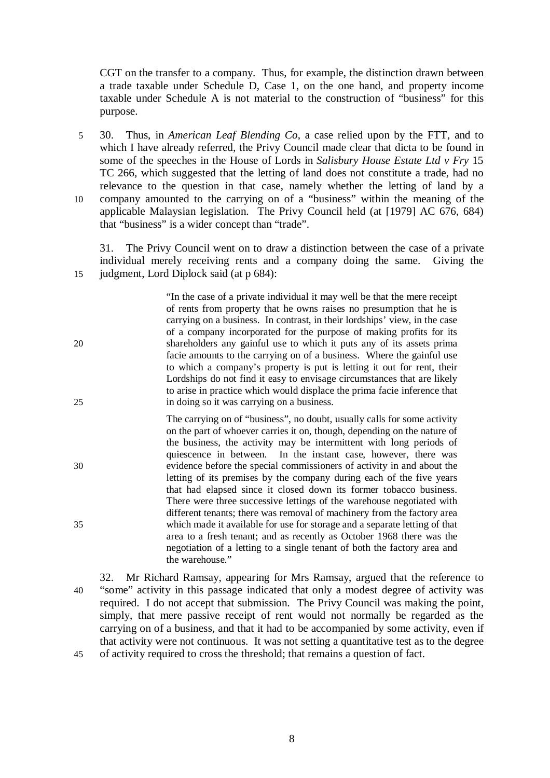CGT on the transfer to a company. Thus, for example, the distinction drawn between a trade taxable under Schedule D, Case 1, on the one hand, and property income taxable under Schedule A is not material to the construction of "business" for this purpose.

5 30. Thus, in *American Leaf Blending Co*, a case relied upon by the FTT, and to which I have already referred, the Privy Council made clear that dicta to be found in some of the speeches in the House of Lords in *Salisbury House Estate Ltd v Fry* 15 TC 266, which suggested that the letting of land does not constitute a trade, had no relevance to the question in that case, namely whether the letting of land by a 10 company amounted to the carrying on of a "business" within the meaning of the applicable Malaysian legislation. The Privy Council held (at [1979] AC 676, 684) that "business" is a wider concept than "trade".

31. The Privy Council went on to draw a distinction between the case of a private individual merely receiving rents and a company doing the same. Giving the 15 judgment, Lord Diplock said (at p 684):

"In the case of a private individual it may well be that the mere receipt of rents from property that he owns raises no presumption that he is carrying on a business. In contrast, in their lordships' view, in the case of a company incorporated for the purpose of making profits for its 20 shareholders any gainful use to which it puts any of its assets prima facie amounts to the carrying on of a business. Where the gainful use to which a company's property is put is letting it out for rent, their Lordships do not find it easy to envisage circumstances that are likely to arise in practice which would displace the prima facie inference that 25 in doing so it was carrying on a business.

The carrying on of "business", no doubt, usually calls for some activity on the part of whoever carries it on, though, depending on the nature of the business, the activity may be intermittent with long periods of quiescence in between. In the instant case, however, there was 30 evidence before the special commissioners of activity in and about the letting of its premises by the company during each of the five years that had elapsed since it closed down its former tobacco business. There were three successive lettings of the warehouse negotiated with different tenants; there was removal of machinery from the factory area 35 which made it available for use for storage and a separate letting of that area to a fresh tenant; and as recently as October 1968 there was the negotiation of a letting to a single tenant of both the factory area and the warehouse."

32. Mr Richard Ramsay, appearing for Mrs Ramsay, argued that the reference to 40 "some" activity in this passage indicated that only a modest degree of activity was required. I do not accept that submission. The Privy Council was making the point, simply, that mere passive receipt of rent would not normally be regarded as the carrying on of a business, and that it had to be accompanied by some activity, even if that activity were not continuous. It was not setting a quantitative test as to the degree 45 of activity required to cross the threshold; that remains a question of fact.

8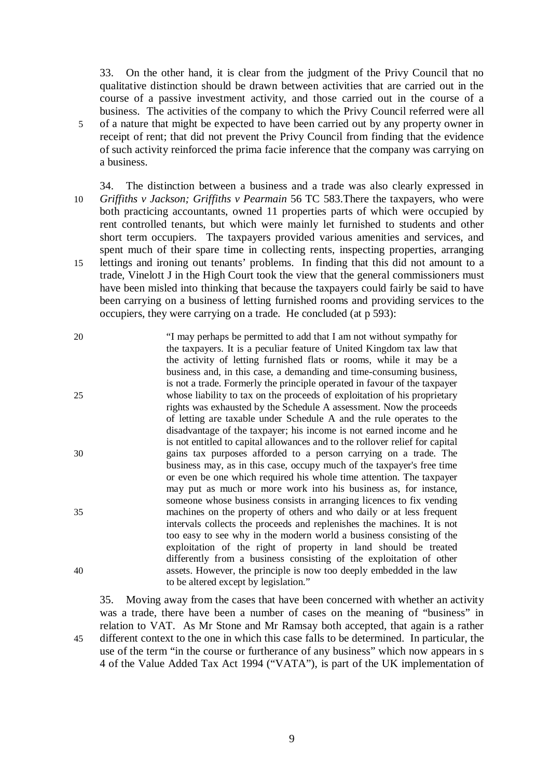33. On the other hand, it is clear from the judgment of the Privy Council that no qualitative distinction should be drawn between activities that are carried out in the course of a passive investment activity, and those carried out in the course of a business. The activities of the company to which the Privy Council referred were all 5 of a nature that might be expected to have been carried out by any property owner in receipt of rent; that did not prevent the Privy Council from finding that the evidence of such activity reinforced the prima facie inference that the company was carrying on a business.

34. The distinction between a business and a trade was also clearly expressed in 10 *Griffiths v Jackson; Griffiths v Pearmain* 56 TC 583.There the taxpayers, who were both practicing accountants, owned 11 properties parts of which were occupied by rent controlled tenants, but which were mainly let furnished to students and other short term occupiers. The taxpayers provided various amenities and services, and spent much of their spare time in collecting rents, inspecting properties, arranging 15 lettings and ironing out tenants' problems. In finding that this did not amount to a trade, Vinelott J in the High Court took the view that the general commissioners must have been misled into thinking that because the taxpayers could fairly be said to have been carrying on a business of letting furnished rooms and providing services to the occupiers, they were carrying on a trade. He concluded (at p 593):

| 20 | "I may perhaps be permitted to add that I am not without sympathy for        |
|----|------------------------------------------------------------------------------|
|    | the taxpayers. It is a peculiar feature of United Kingdom tax law that       |
|    | the activity of letting furnished flats or rooms, while it may be a          |
|    | business and, in this case, a demanding and time-consuming business,         |
|    | is not a trade. Formerly the principle operated in favour of the taxpayer    |
| 25 | whose liability to tax on the proceeds of exploitation of his proprietary    |
|    | rights was exhausted by the Schedule A assessment. Now the proceeds          |
|    | of letting are taxable under Schedule A and the rule operates to the         |
|    | disadvantage of the taxpayer; his income is not earned income and he         |
|    | is not entitled to capital allowances and to the rollover relief for capital |
| 30 | gains tax purposes afforded to a person carrying on a trade. The             |
|    | business may, as in this case, occupy much of the taxpayer's free time       |
|    | or even be one which required his whole time attention. The taxpayer         |
|    | may put as much or more work into his business as, for instance,             |
|    | someone whose business consists in arranging licences to fix vending         |
| 35 | machines on the property of others and who daily or at less frequent         |
|    | intervals collects the proceeds and replenishes the machines. It is not      |
|    | too easy to see why in the modern world a business consisting of the         |
|    | exploitation of the right of property in land should be treated              |
|    | differently from a business consisting of the exploitation of other          |
| 40 | assets. However, the principle is now too deeply embedded in the law         |
|    | to be altered except by legislation."                                        |
|    |                                                                              |

35. Moving away from the cases that have been concerned with whether an activity was a trade, there have been a number of cases on the meaning of "business" in relation to VAT. As Mr Stone and Mr Ramsay both accepted, that again is a rather 45 different context to the one in which this case falls to be determined. In particular, the use of the term "in the course or furtherance of any business" which now appears in s 4 of the Value Added Tax Act 1994 ("VATA"), is part of the UK implementation of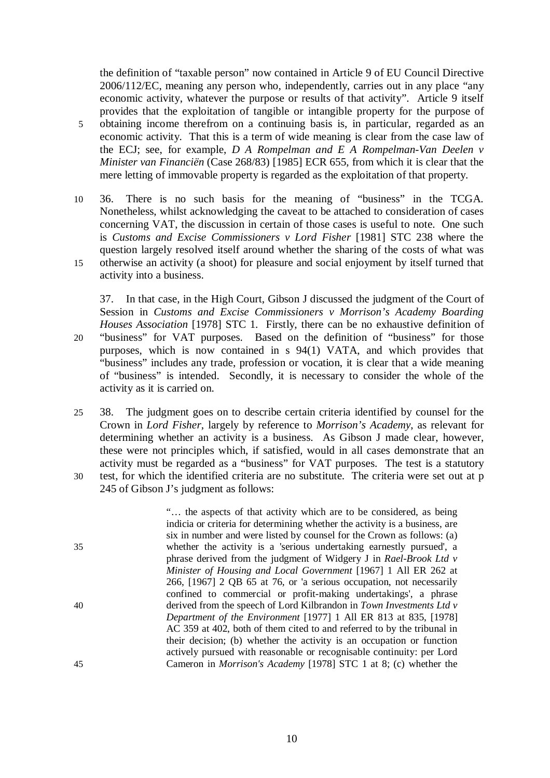the definition of "taxable person" now contained in Article 9 of EU Council Directive 2006/112/EC, meaning any person who, independently, carries out in any place "any economic activity, whatever the purpose or results of that activity". Article 9 itself provides that the exploitation of tangible or intangible property for the purpose of 5 obtaining income therefrom on a continuing basis is, in particular, regarded as an economic activity. That this is a term of wide meaning is clear from the case law of the ECJ; see, for example, *D A Rompelman and E A Rompelman-Van Deelen v Minister van Financiën* (Case 268/83) [1985] ECR 655, from which it is clear that the mere letting of immovable property is regarded as the exploitation of that property.

10 36. There is no such basis for the meaning of "business" in the TCGA. Nonetheless, whilst acknowledging the caveat to be attached to consideration of cases concerning VAT, the discussion in certain of those cases is useful to note. One such is *Customs and Excise Commissioners v Lord Fisher* [1981] STC 238 where the question largely resolved itself around whether the sharing of the costs of what was 15 otherwise an activity (a shoot) for pleasure and social enjoyment by itself turned that activity into a business.

37. In that case, in the High Court, Gibson J discussed the judgment of the Court of Session in *Customs and Excise Commissioners v Morrison's Academy Boarding Houses Association* [1978] STC 1. Firstly, there can be no exhaustive definition of 20 "business" for VAT purposes. Based on the definition of "business" for those purposes, which is now contained in s 94(1) VATA, and which provides that "business" includes any trade, profession or vocation, it is clear that a wide meaning of "business" is intended. Secondly, it is necessary to consider the whole of the activity as it is carried on.

25 38. The judgment goes on to describe certain criteria identified by counsel for the Crown in *Lord Fisher*, largely by reference to *Morrison's Academy*, as relevant for determining whether an activity is a business. As Gibson J made clear, however, these were not principles which, if satisfied, would in all cases demonstrate that an activity must be regarded as a "business" for VAT purposes. The test is a statutory 30 test, for which the identified criteria are no substitute. The criteria were set out at p 245 of Gibson J's judgment as follows:

"… the aspects of that activity which are to be considered, as being indicia or criteria for determining whether the activity is a business, are six in number and were listed by counsel for the Crown as follows: (a) 35 whether the activity is a 'serious undertaking earnestly pursued', a phrase derived from the judgment of Widgery J in *Rael-Brook Ltd v Minister of Housing and Local Government* [1967] 1 All ER 262 at 266, [1967] 2 QB 65 at 76, or 'a serious occupation, not necessarily confined to commercial or profit-making undertakings', a phrase 40 derived from the speech of Lord Kilbrandon in *Town Investments Ltd v Department of the Environment* [1977] 1 All ER 813 at 835, [1978] AC 359 at 402, both of them cited to and referred to by the tribunal in their decision; (b) whether the activity is an occupation or function actively pursued with reasonable or recognisable continuity: per Lord 45 Cameron in *Morrison's Academy* [1978] STC 1 at 8; (c) whether the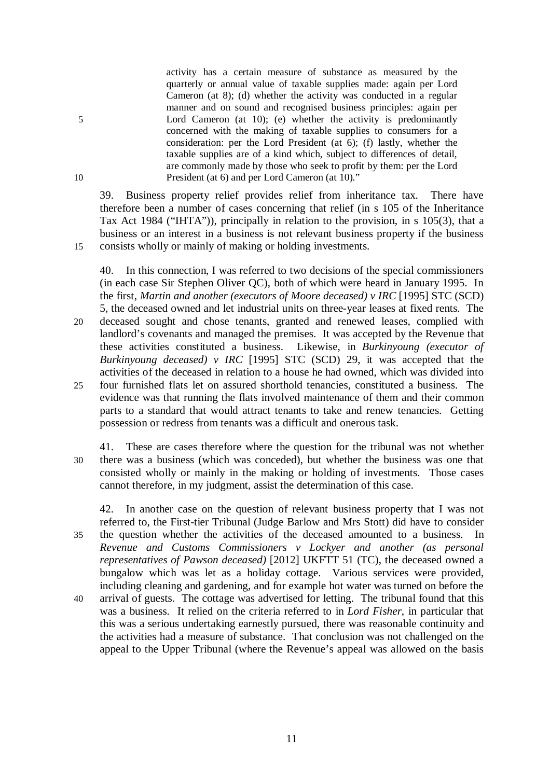activity has a certain measure of substance as measured by the quarterly or annual value of taxable supplies made: again per Lord Cameron (at 8); (d) whether the activity was conducted in a regular manner and on sound and recognised business principles: again per 5 Lord Cameron (at 10); (e) whether the activity is predominantly concerned with the making of taxable supplies to consumers for a consideration: per the Lord President (at 6); (f) lastly, whether the taxable supplies are of a kind which, subject to differences of detail, are commonly made by those who seek to profit by them: per the Lord 10 President (at 6) and per Lord Cameron (at 10)."

39. Business property relief provides relief from inheritance tax. There have therefore been a number of cases concerning that relief (in s 105 of the Inheritance Tax Act 1984 ("IHTA")), principally in relation to the provision, in s 105(3), that a business or an interest in a business is not relevant business property if the business 15 consists wholly or mainly of making or holding investments.

40. In this connection, I was referred to two decisions of the special commissioners (in each case Sir Stephen Oliver QC), both of which were heard in January 1995. In the first, *Martin and another (executors of Moore deceased) v IRC* [1995] STC (SCD) 5, the deceased owned and let industrial units on three-year leases at fixed rents. The 20 deceased sought and chose tenants, granted and renewed leases, complied with

- landlord's covenants and managed the premises. It was accepted by the Revenue that these activities constituted a business. Likewise, in *Burkinyoung (executor of Burkinyoung deceased) v IRC* [1995] STC (SCD) 29, it was accepted that the activities of the deceased in relation to a house he had owned, which was divided into 25 four furnished flats let on assured shorthold tenancies, constituted a business. The evidence was that running the flats involved maintenance of them and their common
- parts to a standard that would attract tenants to take and renew tenancies. Getting possession or redress from tenants was a difficult and onerous task.
- 41. These are cases therefore where the question for the tribunal was not whether 30 there was a business (which was conceded), but whether the business was one that consisted wholly or mainly in the making or holding of investments. Those cases cannot therefore, in my judgment, assist the determination of this case.

42. In another case on the question of relevant business property that I was not referred to, the First-tier Tribunal (Judge Barlow and Mrs Stott) did have to consider 35 the question whether the activities of the deceased amounted to a business. In *Revenue and Customs Commissioners v Lockyer and another (as personal representatives of Pawson deceased)* [2012] UKFTT 51 (TC), the deceased owned a bungalow which was let as a holiday cottage. Various services were provided, including cleaning and gardening, and for example hot water was turned on before the 40 arrival of guests. The cottage was advertised for letting. The tribunal found that this was a business. It relied on the criteria referred to in *Lord Fisher*, in particular that this was a serious undertaking earnestly pursued, there was reasonable continuity and the activities had a measure of substance. That conclusion was not challenged on the appeal to the Upper Tribunal (where the Revenue's appeal was allowed on the basis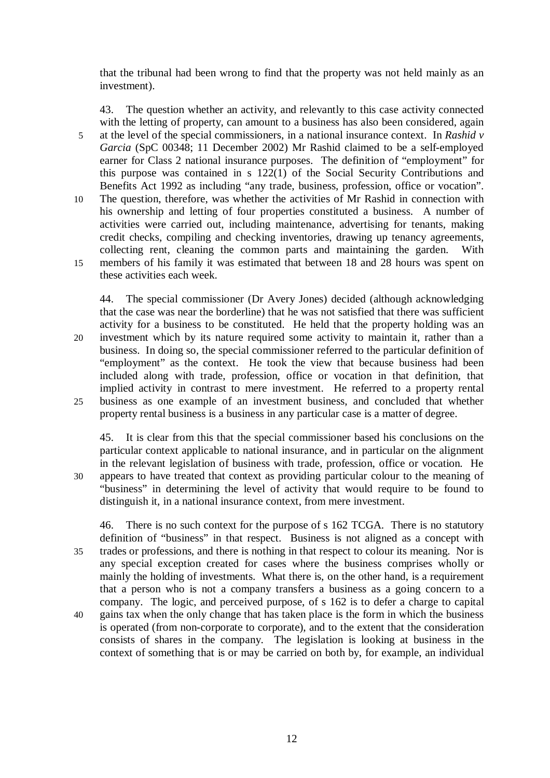that the tribunal had been wrong to find that the property was not held mainly as an investment).

43. The question whether an activity, and relevantly to this case activity connected with the letting of property, can amount to a business has also been considered, again 5 at the level of the special commissioners, in a national insurance context. In *Rashid v Garcia* (SpC 00348; 11 December 2002) Mr Rashid claimed to be a self-employed earner for Class 2 national insurance purposes. The definition of "employment" for this purpose was contained in s 122(1) of the Social Security Contributions and Benefits Act 1992 as including "any trade, business, profession, office or vocation". 10 The question, therefore, was whether the activities of Mr Rashid in connection with his ownership and letting of four properties constituted a business. A number of activities were carried out, including maintenance, advertising for tenants, making credit checks, compiling and checking inventories, drawing up tenancy agreements, collecting rent, cleaning the common parts and maintaining the garden. With 15 members of his family it was estimated that between 18 and 28 hours was spent on these activities each week.

44. The special commissioner (Dr Avery Jones) decided (although acknowledging that the case was near the borderline) that he was not satisfied that there was sufficient activity for a business to be constituted. He held that the property holding was an 20 investment which by its nature required some activity to maintain it, rather than a business. In doing so, the special commissioner referred to the particular definition of "employment" as the context. He took the view that because business had been included along with trade, profession, office or vocation in that definition, that implied activity in contrast to mere investment. He referred to a property rental 25 business as one example of an investment business, and concluded that whether property rental business is a business in any particular case is a matter of degree.

45. It is clear from this that the special commissioner based his conclusions on the particular context applicable to national insurance, and in particular on the alignment in the relevant legislation of business with trade, profession, office or vocation. He 30 appears to have treated that context as providing particular colour to the meaning of "business" in determining the level of activity that would require to be found to distinguish it, in a national insurance context, from mere investment.

46. There is no such context for the purpose of s 162 TCGA. There is no statutory definition of "business" in that respect. Business is not aligned as a concept with 35 trades or professions, and there is nothing in that respect to colour its meaning. Nor is any special exception created for cases where the business comprises wholly or mainly the holding of investments. What there is, on the other hand, is a requirement that a person who is not a company transfers a business as a going concern to a company. The logic, and perceived purpose, of s 162 is to defer a charge to capital 40 gains tax when the only change that has taken place is the form in which the business is operated (from non-corporate to corporate), and to the extent that the consideration consists of shares in the company. The legislation is looking at business in the context of something that is or may be carried on both by, for example, an individual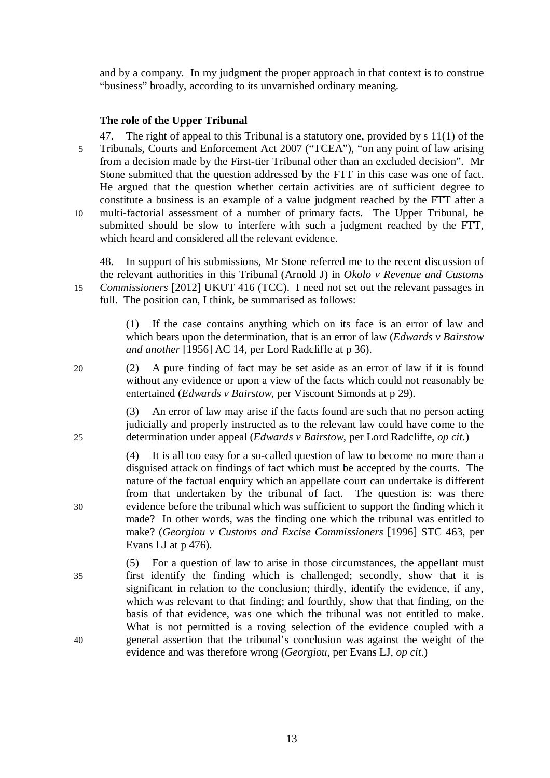and by a company. In my judgment the proper approach in that context is to construe "business" broadly, according to its unvarnished ordinary meaning.

#### **The role of the Upper Tribunal**

47. The right of appeal to this Tribunal is a statutory one, provided by s 11(1) of the 5 Tribunals, Courts and Enforcement Act 2007 ("TCEA"), "on any point of law arising from a decision made by the First-tier Tribunal other than an excluded decision". Mr Stone submitted that the question addressed by the FTT in this case was one of fact. He argued that the question whether certain activities are of sufficient degree to constitute a business is an example of a value judgment reached by the FTT after a 10 multi-factorial assessment of a number of primary facts. The Upper Tribunal, he submitted should be slow to interfere with such a judgment reached by the FTT, which heard and considered all the relevant evidence.

48. In support of his submissions, Mr Stone referred me to the recent discussion of the relevant authorities in this Tribunal (Arnold J) in *Okolo v Revenue and Customs*  15 *Commissioners* [2012] UKUT 416 (TCC). I need not set out the relevant passages in full. The position can, I think, be summarised as follows:

> (1) If the case contains anything which on its face is an error of law and which bears upon the determination, that is an error of law (*Edwards v Bairstow and another* [1956] AC 14, per Lord Radcliffe at p 36).

20 (2) A pure finding of fact may be set aside as an error of law if it is found without any evidence or upon a view of the facts which could not reasonably be entertained (*Edwards v Bairstow*, per Viscount Simonds at p 29).

(3) An error of law may arise if the facts found are such that no person acting judicially and properly instructed as to the relevant law could have come to the 25 determination under appeal (*Edwards v Bairstow*, per Lord Radcliffe, *op cit*.)

(4) It is all too easy for a so-called question of law to become no more than a disguised attack on findings of fact which must be accepted by the courts. The nature of the factual enquiry which an appellate court can undertake is different from that undertaken by the tribunal of fact. The question is: was there 30 evidence before the tribunal which was sufficient to support the finding which it made? In other words, was the finding one which the tribunal was entitled to make? (*Georgiou v Customs and Excise Commissioners* [1996] STC 463, per Evans LJ at p 476).

(5) For a question of law to arise in those circumstances, the appellant must 35 first identify the finding which is challenged; secondly, show that it is significant in relation to the conclusion; thirdly, identify the evidence, if any, which was relevant to that finding; and fourthly, show that that finding, on the basis of that evidence, was one which the tribunal was not entitled to make. What is not permitted is a roving selection of the evidence coupled with a 40 general assertion that the tribunal's conclusion was against the weight of the evidence and was therefore wrong (*Georgiou*, per Evans LJ, *op cit*.)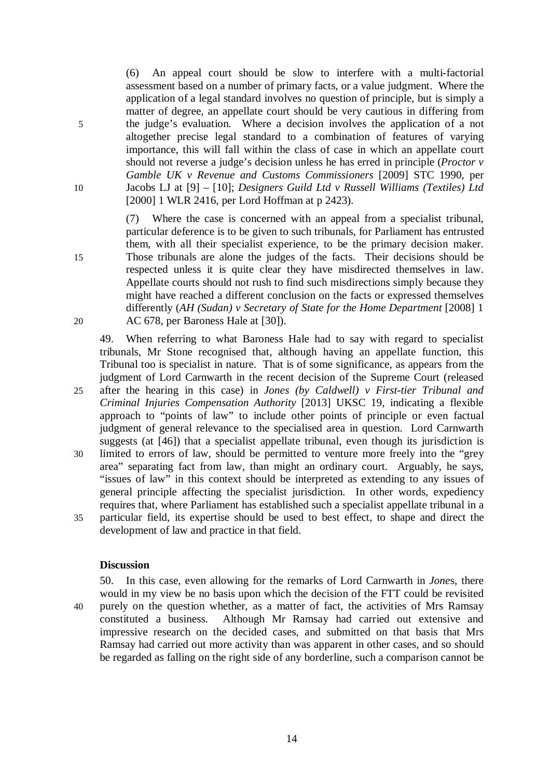(6) An appeal court should be slow to interfere with a multi-factorial assessment based on a number of primary facts, or a value judgment. Where the application of a legal standard involves no question of principle, but is simply a matter of degree, an appellate court should be very cautious in differing from 5 the judge's evaluation. Where a decision involves the application of a not altogether precise legal standard to a combination of features of varying importance, this will fall within the class of case in which an appellate court should not reverse a judge's decision unless he has erred in principle (*Proctor v Gamble UK v Revenue and Customs Commissioners* [2009] STC 1990, per 10 Jacobs LJ at [9] – [10]; *Designers Guild Ltd v Russell Williams (Textiles) Ltd* [2000] 1 WLR 2416, per Lord Hoffman at p 2423).

(7) Where the case is concerned with an appeal from a specialist tribunal, particular deference is to be given to such tribunals, for Parliament has entrusted them, with all their specialist experience, to be the primary decision maker. 15 Those tribunals are alone the judges of the facts. Their decisions should be respected unless it is quite clear they have misdirected themselves in law. Appellate courts should not rush to find such misdirections simply because they might have reached a different conclusion on the facts or expressed themselves differently (*AH (Sudan) v Secretary of State for the Home Department* [2008] 1 20 AC 678, per Baroness Hale at [30]).

49. When referring to what Baroness Hale had to say with regard to specialist tribunals, Mr Stone recognised that, although having an appellate function, this Tribunal too is specialist in nature. That is of some significance, as appears from the judgment of Lord Carnwarth in the recent decision of the Supreme Court (released 25 after the hearing in this case) in *Jones (by Caldwell) v First-tier Tribunal and Criminal Injuries Compensation Authority* [2013] UKSC 19, indicating a flexible approach to "points of law" to include other points of principle or even factual judgment of general relevance to the specialised area in question. Lord Carnwarth suggests (at [46]) that a specialist appellate tribunal, even though its jurisdiction is 30 limited to errors of law, should be permitted to venture more freely into the "grey area" separating fact from law, than might an ordinary court. Arguably, he says, "issues of law" in this context should be interpreted as extending to any issues of general principle affecting the specialist jurisdiction. In other words, expediency requires that, where Parliament has established such a specialist appellate tribunal in a 35 particular field, its expertise should be used to best effect, to shape and direct the development of law and practice in that field.

#### **Discussion**

50. In this case, even allowing for the remarks of Lord Carnwarth in *Jone*s, there would in my view be no basis upon which the decision of the FTT could be revisited 40 purely on the question whether, as a matter of fact, the activities of Mrs Ramsay constituted a business. Although Mr Ramsay had carried out extensive and impressive research on the decided cases, and submitted on that basis that Mrs Ramsay had carried out more activity than was apparent in other cases, and so should be regarded as falling on the right side of any borderline, such a comparison cannot be

14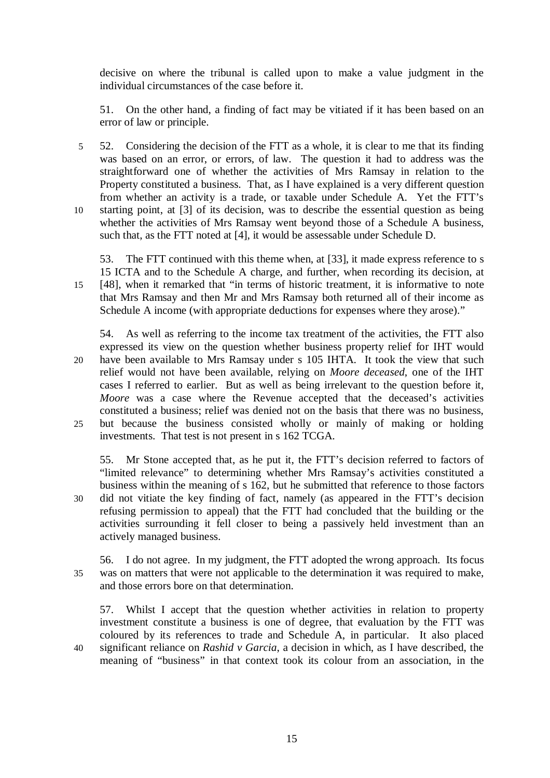decisive on where the tribunal is called upon to make a value judgment in the individual circumstances of the case before it.

51. On the other hand, a finding of fact may be vitiated if it has been based on an error of law or principle.

5 52. Considering the decision of the FTT as a whole, it is clear to me that its finding was based on an error, or errors, of law. The question it had to address was the straightforward one of whether the activities of Mrs Ramsay in relation to the Property constituted a business. That, as I have explained is a very different question from whether an activity is a trade, or taxable under Schedule A. Yet the FTT's 10 starting point, at [3] of its decision, was to describe the essential question as being whether the activities of Mrs Ramsay went beyond those of a Schedule A business, such that, as the FTT noted at [4], it would be assessable under Schedule D.

53. The FTT continued with this theme when, at [33], it made express reference to s 15 ICTA and to the Schedule A charge, and further, when recording its decision, at 15 [48], when it remarked that "in terms of historic treatment, it is informative to note that Mrs Ramsay and then Mr and Mrs Ramsay both returned all of their income as Schedule A income (with appropriate deductions for expenses where they arose)."

54. As well as referring to the income tax treatment of the activities, the FTT also expressed its view on the question whether business property relief for IHT would 20 have been available to Mrs Ramsay under s 105 IHTA. It took the view that such relief would not have been available, relying on *Moore deceased*, one of the IHT cases I referred to earlier. But as well as being irrelevant to the question before it, *Moore* was a case where the Revenue accepted that the deceased's activities constituted a business; relief was denied not on the basis that there was no business, 25 but because the business consisted wholly or mainly of making or holding investments. That test is not present in s 162 TCGA.

55. Mr Stone accepted that, as he put it, the FTT's decision referred to factors of "limited relevance" to determining whether Mrs Ramsay's activities constituted a business within the meaning of s 162, but he submitted that reference to those factors 30 did not vitiate the key finding of fact, namely (as appeared in the FTT's decision refusing permission to appeal) that the FTT had concluded that the building or the activities surrounding it fell closer to being a passively held investment than an actively managed business.

56. I do not agree. In my judgment, the FTT adopted the wrong approach. Its focus 35 was on matters that were not applicable to the determination it was required to make, and those errors bore on that determination.

57. Whilst I accept that the question whether activities in relation to property investment constitute a business is one of degree, that evaluation by the FTT was coloured by its references to trade and Schedule A, in particular. It also placed 40 significant reliance on *Rashid v Garcia*, a decision in which, as I have described, the meaning of "business" in that context took its colour from an association, in the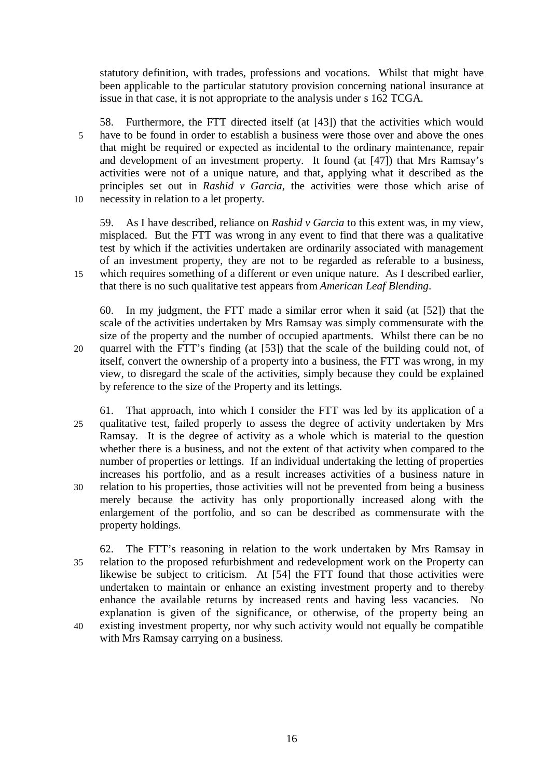statutory definition, with trades, professions and vocations. Whilst that might have been applicable to the particular statutory provision concerning national insurance at issue in that case, it is not appropriate to the analysis under s 162 TCGA.

58. Furthermore, the FTT directed itself (at [43]) that the activities which would 5 have to be found in order to establish a business were those over and above the ones that might be required or expected as incidental to the ordinary maintenance, repair and development of an investment property. It found (at [47]) that Mrs Ramsay's activities were not of a unique nature, and that, applying what it described as the principles set out in *Rashid v Garcia*, the activities were those which arise of 10 necessity in relation to a let property.

59. As I have described, reliance on *Rashid v Garcia* to this extent was, in my view, misplaced. But the FTT was wrong in any event to find that there was a qualitative test by which if the activities undertaken are ordinarily associated with management of an investment property, they are not to be regarded as referable to a business, 15 which requires something of a different or even unique nature. As I described earlier, that there is no such qualitative test appears from *American Leaf Blending*.

60. In my judgment, the FTT made a similar error when it said (at [52]) that the scale of the activities undertaken by Mrs Ramsay was simply commensurate with the size of the property and the number of occupied apartments. Whilst there can be no 20 quarrel with the FTT's finding (at [53]) that the scale of the building could not, of itself, convert the ownership of a property into a business, the FTT was wrong, in my view, to disregard the scale of the activities, simply because they could be explained by reference to the size of the Property and its lettings.

- 61. That approach, into which I consider the FTT was led by its application of a 25 qualitative test, failed properly to assess the degree of activity undertaken by Mrs Ramsay. It is the degree of activity as a whole which is material to the question whether there is a business, and not the extent of that activity when compared to the number of properties or lettings. If an individual undertaking the letting of properties increases his portfolio, and as a result increases activities of a business nature in 30 relation to his properties, those activities will not be prevented from being a business merely because the activity has only proportionally increased along with the enlargement of the portfolio, and so can be described as commensurate with the property holdings.
- 62. The FTT's reasoning in relation to the work undertaken by Mrs Ramsay in 35 relation to the proposed refurbishment and redevelopment work on the Property can likewise be subject to criticism. At [54] the FTT found that those activities were undertaken to maintain or enhance an existing investment property and to thereby enhance the available returns by increased rents and having less vacancies. No explanation is given of the significance, or otherwise, of the property being an 40 existing investment property, nor why such activity would not equally be compatible with Mrs Ramsay carrying on a business.
-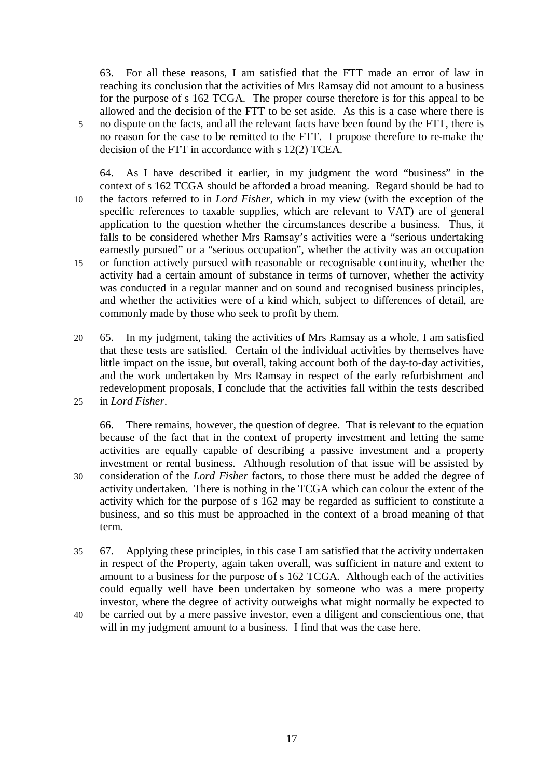63. For all these reasons, I am satisfied that the FTT made an error of law in reaching its conclusion that the activities of Mrs Ramsay did not amount to a business for the purpose of s 162 TCGA. The proper course therefore is for this appeal to be allowed and the decision of the FTT to be set aside. As this is a case where there is 5 no dispute on the facts, and all the relevant facts have been found by the FTT, there is no reason for the case to be remitted to the FTT. I propose therefore to re-make the decision of the FTT in accordance with s 12(2) TCEA.

64. As I have described it earlier, in my judgment the word "business" in the context of s 162 TCGA should be afforded a broad meaning. Regard should be had to 10 the factors referred to in *Lord Fisher*, which in my view (with the exception of the specific references to taxable supplies, which are relevant to VAT) are of general application to the question whether the circumstances describe a business. Thus, it falls to be considered whether Mrs Ramsay's activities were a "serious undertaking earnestly pursued" or a "serious occupation", whether the activity was an occupation 15 or function actively pursued with reasonable or recognisable continuity, whether the activity had a certain amount of substance in terms of turnover, whether the activity was conducted in a regular manner and on sound and recognised business principles, and whether the activities were of a kind which, subject to differences of detail, are commonly made by those who seek to profit by them.

20 65. In my judgment, taking the activities of Mrs Ramsay as a whole, I am satisfied that these tests are satisfied. Certain of the individual activities by themselves have little impact on the issue, but overall, taking account both of the day-to-day activities, and the work undertaken by Mrs Ramsay in respect of the early refurbishment and redevelopment proposals, I conclude that the activities fall within the tests described 25 in *Lord Fisher*.

66. There remains, however, the question of degree. That is relevant to the equation because of the fact that in the context of property investment and letting the same activities are equally capable of describing a passive investment and a property investment or rental business. Although resolution of that issue will be assisted by 30 consideration of the *Lord Fisher* factors, to those there must be added the degree of activity undertaken. There is nothing in the TCGA which can colour the extent of the activity which for the purpose of s 162 may be regarded as sufficient to constitute a business, and so this must be approached in the context of a broad meaning of that term.

- 35 67. Applying these principles, in this case I am satisfied that the activity undertaken in respect of the Property, again taken overall, was sufficient in nature and extent to amount to a business for the purpose of s 162 TCGA. Although each of the activities could equally well have been undertaken by someone who was a mere property investor, where the degree of activity outweighs what might normally be expected to
- 40 be carried out by a mere passive investor, even a diligent and conscientious one, that will in my judgment amount to a business. I find that was the case here.